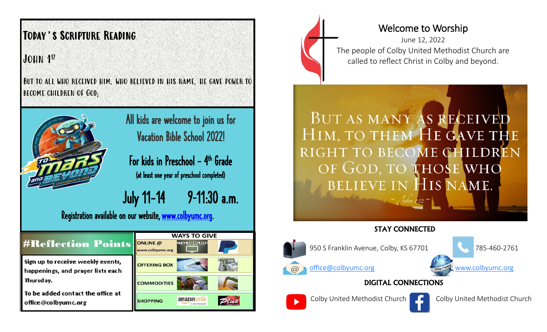# Today's Scripture Reading

JOHN 1<sup>12</sup>

But to all who received him, who believed in his name, he gave power to become children of God;



All kids are welcome to join us for Vacation Bible School 2022!

For kids in Preschool – 4<sup>th</sup> Grade (at least one year of preschool completed)

July 11-14 9–11:30 a.m.

Q

Registration available on our website, [www.colbyumc.org.](http://www.colbyumc.org)

| <b>#Reflection Points</b>                                                                                                                       | <b>WAYS TO GIVE</b>          |  |   |
|-------------------------------------------------------------------------------------------------------------------------------------------------|------------------------------|--|---|
|                                                                                                                                                 | ONLINE @<br>www.colbyumc.org |  |   |
| Sign up to receive weekly events,<br>happenings, and prayer lists each<br>Thursday.<br>To be added contact the office at<br>office@colbyumc.org | <b>OFFERING BOX</b>          |  |   |
|                                                                                                                                                 | <b>COMMODITIES</b>           |  |   |
|                                                                                                                                                 | <b>SHOPPING</b>              |  | 7 |



## Welcome to Worship

June 12, 2022 The people of Colby United Methodist Church are called to reflect Christ in Colby and beyond.

BUT AS MANY AS RECEIVED HIM, TO THEM HE GAVE THE RIGHT TO BECOME CHILDREN OF GOD, TO THOSE WHO BELIEVE IN HIS NAME.  $-$  John 1:12 ~

#### STAY CONNECTED



950 S Franklin Avenue, Colby, KS 67701 785-460-2761

[office@colbyumc.org](mailto:office@colbyumc.org) [www.colbyumc.org](mailto:office@colbyumc.org)

DIGITAL CONNECTIONS





Colby United Methodist Church Colby United Methodist Church